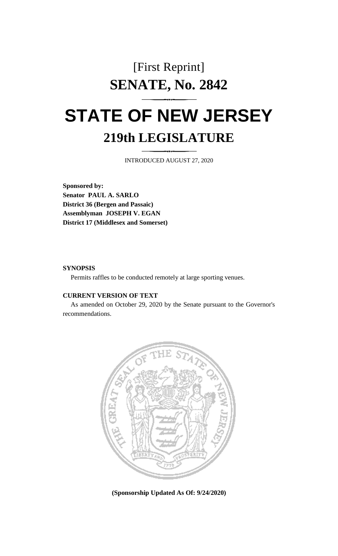## [First Reprint] **SENATE, No. 2842**

# **STATE OF NEW JERSEY 219th LEGISLATURE**

INTRODUCED AUGUST 27, 2020

**Sponsored by: Senator PAUL A. SARLO District 36 (Bergen and Passaic) Assemblyman JOSEPH V. EGAN District 17 (Middlesex and Somerset)**

#### **SYNOPSIS**

Permits raffles to be conducted remotely at large sporting venues.

#### **CURRENT VERSION OF TEXT**

As amended on October 29, 2020 by the Senate pursuant to the Governor's recommendations.



**(Sponsorship Updated As Of: 9/24/2020)**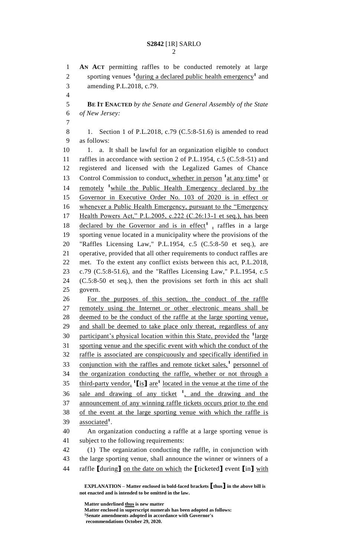**AN ACT** permitting raffles to be conducted remotely at large 2 sporting venues <sup>1</sup>during a declared public health emergency<sup>1</sup> and amending P.L.2018, c.79. **BE IT ENACTED** *by the Senate and General Assembly of the State of New Jersey:* 8 1. Section 1 of P.L.2018, c.79 (C.5:8-51.6) is amended to read as follows: 10 1. a. It shall be lawful for an organization eligible to conduct 11 raffles in accordance with section 2 of P.L.1954, c.5 (C.5:8-51) and registered and licensed with the Legalized Games of Chance 13 Control Commission to conduct, whether in person <sup>1</sup> at any time<sup>1</sup> or 14 remotely <sup>1</sup> while the Public Health Emergency declared by the Governor in Executive Order No. 103 of 2020 is in effect or whenever a Public Health Emergency, pursuant to the "Emergency Health Powers Act," P.L.2005, c.222 (C.26:13-1 et seq.), has been 18 declared by the Governor and is in effect<sup>1</sup>, raffles in a large sporting venue located in a municipality where the provisions of the "Raffles Licensing Law," P.L.1954, c.5 (C.5:8-50 et seq.), are operative, provided that all other requirements to conduct raffles are met. To the extent any conflict exists between this act, P.L.2018, c.79 (C.5:8-51.6), and the "Raffles Licensing Law," P.L.1954, c.5 (C.5:8-50 et seq.), then the provisions set forth in this act shall govern. For the purposes of this section, the conduct of the raffle remotely using the Internet or other electronic means shall be deemed to be the conduct of the raffle at the large sporting venue, and shall be deemed to take place only thereat, regardless of any 30 participant's physical location within this State, provided the <sup>1</sup>large sporting venue and the specific event with which the conduct of the raffle is associated are conspicuously and specifically identified in 33 conjunction with the raffles and remote ticket sales,<sup>1</sup> personnel of the organization conducting the raffle, whether or not through a third-party vendor,  $\text{1}$   $\text{1}$  is  $\text{1}$  are<sup>1</sup> located in the venue at the time of the 36 sale and drawing of any ticket <sup>1</sup>, and the drawing and the announcement of any winning raffle tickets occurs prior to the end of the event at the large sporting venue with which the raffle is **associated**<sup>1</sup>. An organization conducting a raffle at a large sporting venue is subject to the following requirements: (1) The organization conducting the raffle, in conjunction with the large sporting venue, shall announce the winner or winners of a

raffle **[**during**]** on the date on which the **[**ticketed**]** event **[**in**]** with

**Matter underlined thus is new matter Matter enclosed in superscript numerals has been adopted as follows: Senate amendments adopted in accordance with Governor's recommendations October 29, 2020.**

**EXPLANATION – Matter enclosed in bold-faced brackets [thus] in the above bill is not enacted and is intended to be omitted in the law.**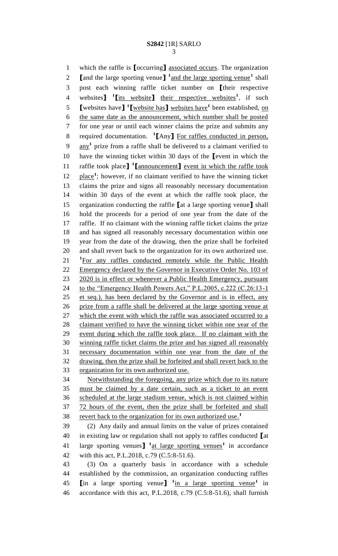which the raffle is **[**occurring**]** associated occurs. The organization **[**and the large sporting venue**]** <sup>1</sup> and the large sporting venue<sup>1</sup> shall post each winning raffle ticket number on **[**their respective 4 websites<sup>1</sup> l<u>its website</u><sup>1</sup> their respective websites<sup>1</sup>, if such **[**websites have**] 1 [**website has**]** websites have**<sup>1</sup>** been established, on the same date as the announcement, which number shall be posted for one year or until each winner claims the prize and submits any required documentation. **<sup>1</sup> [**Any**]** For raffles conducted in person, 9 any<sup>1</sup> prize from a raffle shall be delivered to a claimant verified to have the winning ticket within 30 days of the **[**event in which the **called** raffle took place<sup>1</sup> **[**announcement<sup>1</sup> event in which the raffle took 12 place<sup>1</sup>; however, if no claimant verified to have the winning ticket claims the prize and signs all reasonably necessary documentation within 30 days of the event at which the raffle took place, the organization conducting the raffle **[**at a large sporting venue**]** shall hold the proceeds for a period of one year from the date of the raffle. If no claimant with the winning raffle ticket claims the prize and has signed all reasonably necessary documentation within one year from the date of the drawing, then the prize shall be forfeited and shall revert back to the organization for its own authorized use. 21 <sup>1</sup>For any raffles conducted remotely while the Public Health 22 Emergency declared by the Governor in Executive Order No. 103 of 23 2020 is in effect or whenever a Public Health Emergency, pursuant 24 to the "Emergency Health Powers Act," P.L.2005, c.222 (C.26:13-1) et seq.), has been declared by the Governor and is in effect, any prize from a raffle shall be delivered at the large sporting venue at 27 which the event with which the raffle was associated occurred to a claimant verified to have the winning ticket within one year of the event during which the raffle took place. If no claimant with the winning raffle ticket claims the prize and has signed all reasonably necessary documentation within one year from the date of the drawing, then the prize shall be forfeited and shall revert back to the organization for its own authorized use. Notwithstanding the foregoing, any prize which due to its nature must be claimed by a date certain, such as a ticket to an event scheduled at the large stadium venue, which is not claimed within 37 72 hours of the event, then the prize shall be forfeited and shall revert back to the organization for its own authorized use. **1** (2) Any daily and annual limits on the value of prizes contained in existing law or regulation shall not apply to raffles conducted **[**at large sporting venues**] 1** at large sporting venues**<sup>1</sup>** in accordance with this act, P.L.2018, c.79 (C.5:8-51.6). (3) On a quarterly basis in accordance with a schedule established by the commission, an organization conducting raffles **[**in a large sporting venue**] 1** in a large sporting venue**<sup>1</sup>** in accordance with this act, P.L.2018, c.79 (C.5:8-51.6), shall furnish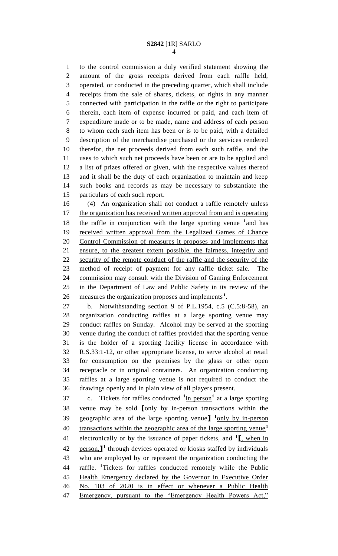to the control commission a duly verified statement showing the amount of the gross receipts derived from each raffle held, operated, or conducted in the preceding quarter, which shall include receipts from the sale of shares, tickets, or rights in any manner connected with participation in the raffle or the right to participate therein, each item of expense incurred or paid, and each item of expenditure made or to be made, name and address of each person to whom each such item has been or is to be paid, with a detailed description of the merchandise purchased or the services rendered therefor, the net proceeds derived from each such raffle, and the uses to which such net proceeds have been or are to be applied and a list of prizes offered or given, with the respective values thereof and it shall be the duty of each organization to maintain and keep such books and records as may be necessary to substantiate the particulars of each such report.

 (4) An organization shall not conduct a raffle remotely unless 17 the organization has received written approval from and is operating 18 the raffle in conjunction with the large sporting venue <sup>1</sup> and has 19 received written approval from the Legalized Games of Chance Control Commission of measures it proposes and implements that ensure, to the greatest extent possible, the fairness, integrity and 22 security of the remote conduct of the raffle and the security of the method of receipt of payment for any raffle ticket sale. The commission may consult with the Division of Gaming Enforcement in the Department of Law and Public Safety in its review of the 26 measures the organization proposes and implements<sup>1</sup>.

 b. Notwithstanding section 9 of P.L.1954, c.5 (C.5:8-58), an organization conducting raffles at a large sporting venue may conduct raffles on Sunday. Alcohol may be served at the sporting venue during the conduct of raffles provided that the sporting venue is the holder of a sporting facility license in accordance with R.S.33:1-12, or other appropriate license, to serve alcohol at retail for consumption on the premises by the glass or other open receptacle or in original containers. An organization conducting raffles at a large sporting venue is not required to conduct the drawings openly and in plain view of all players present.

37 c. Tickets for raffles conducted <sup>1</sup>in person<sup>1</sup> at a large sporting venue may be sold **[**only by in-person transactions within the 39 geographic area of the large sporting venue<sup>1</sup>  $\frac{1}{2}$  only by in-person transactions within the geographic area of the large sporting venue**<sup>1</sup>** electronically or by the issuance of paper tickets, and **<sup>1</sup> [**, when in

42 person,<sup>1</sup> through devices operated or kiosks staffed by individuals who are employed by or represent the organization conducting the 44 raffle. <sup>1</sup>Tickets for raffles conducted remotely while the Public Health Emergency declared by the Governor in Executive Order No. 103 of 2020 is in effect or whenever a Public Health 47 Emergency, pursuant to the "Emergency Health Powers Act,"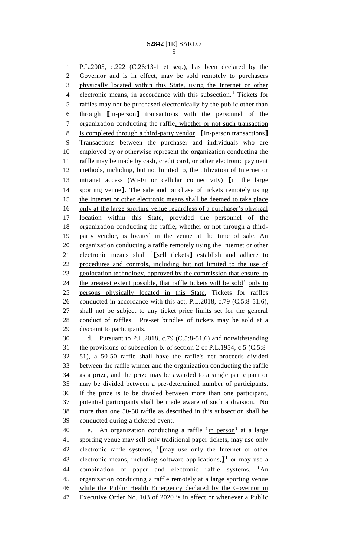P.L.2005, c.222 (C.26:13-1 et seq.), has been declared by the Governor and is in effect, may be sold remotely to purchasers physically located within this State, using the Internet or other 4 electronic means, in accordance with this subsection.<sup>1</sup> Tickets for raffles may not be purchased electronically by the public other than through **[**in-person**]** transactions with the personnel of the organization conducting the raffle, whether or not such transaction is completed through a third-party vendor. **[**In-person transactions**]** Transactions between the purchaser and individuals who are employed by or otherwise represent the organization conducting the raffle may be made by cash, credit card, or other electronic payment methods, including, but not limited to, the utilization of Internet or intranet access (Wi-Fi or cellular connectivity) **[**in the large sporting venue**]**. The sale and purchase of tickets remotely using 15 the Internet or other electronic means shall be deemed to take place only at the large sporting venue regardless of a purchaser's physical location within this State, provided the personnel of the organization conducting the raffle, whether or not through a third-19 party vendor, is located in the venue at the time of sale. An organization conducting a raffle remotely using the Internet or other 21 electronic means shall <sup>1</sup>[sell tickets] establish and adhere to procedures and controls, including but not limited to the use of 23 geolocation technology, approved by the commission that ensure, to 24 the greatest extent possible, that raffle tickets will be sold<sup>1</sup> only to persons physically located in this State. Tickets for raffles conducted in accordance with this act, P.L.2018, c.79 (C.5:8-51.6), shall not be subject to any ticket price limits set for the general conduct of raffles. Pre-set bundles of tickets may be sold at a discount to participants.

 d. Pursuant to P.L.2018, c.79 (C.5:8-51.6) and notwithstanding the provisions of subsection b. of section 2 of P.L.1954, c.5 (C.5:8- 51), a 50-50 raffle shall have the raffle's net proceeds divided between the raffle winner and the organization conducting the raffle as a prize, and the prize may be awarded to a single participant or may be divided between a pre-determined number of participants. If the prize is to be divided between more than one participant, potential participants shall be made aware of such a division. No more than one 50-50 raffle as described in this subsection shall be conducted during a ticketed event.

40 e. An organization conducting a raffle <sup>1</sup>in person<sup>1</sup> at a large sporting venue may sell only traditional paper tickets, may use only 42 electronic raffle systems,  $\frac{1}{2}$  may use only the Internet or other 43 electronic means, including software applications, 1<sup>1</sup> or may use a 44 combination of paper and electronic raffle systems. <sup>1</sup>An organization conducting a raffle remotely at a large sporting venue while the Public Health Emergency declared by the Governor in Executive Order No. 103 of 2020 is in effect or whenever a Public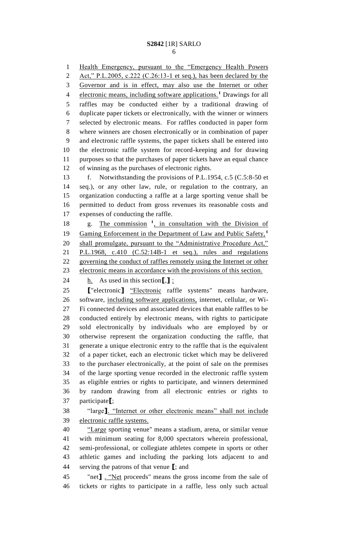Health Emergency, pursuant to the "Emergency Health Powers Act," P.L.2005, c.222 (C.26:13-1 et seq.), has been declared by the Governor and is in effect, may also use the Internet or other 4 electronic means, including software applications.<sup>1</sup> Drawings for all raffles may be conducted either by a traditional drawing of duplicate paper tickets or electronically, with the winner or winners selected by electronic means. For raffles conducted in paper form where winners are chosen electronically or in combination of paper and electronic raffle systems, the paper tickets shall be entered into the electronic raffle system for record-keeping and for drawing purposes so that the purchases of paper tickets have an equal chance of winning as the purchases of electronic rights. f. Notwithstanding the provisions of P.L.1954, c.5 (C.5:8-50 et seq.), or any other law, rule, or regulation to the contrary, an organization conducting a raffle at a large sporting venue shall be permitted to deduct from gross revenues its reasonable costs and expenses of conducting the raffle. 18 g. The commission <sup>1</sup>, in consultation with the Division of Gaming Enforcement in the Department of Law and Public Safety,**<sup>1</sup>** shall promulgate, pursuant to the "Administrative Procedure Act," P.L.1968, c.410 (C.52:14B-1 et seq.), rules and regulations governing the conduct of raffles remotely using the Internet or other electronic means in accordance with the provisions of this section. h. As used in this section**[**,**]** : **[**"electronic**]** "Electronic raffle systems" means hardware, software, including software applications, internet, cellular, or Wi- Fi connected devices and associated devices that enable raffles to be conducted entirely by electronic means, with rights to participate sold electronically by individuals who are employed by or otherwise represent the organization conducting the raffle, that generate a unique electronic entry to the raffle that is the equivalent of a paper ticket, each an electronic ticket which may be delivered to the purchaser electronically, at the point of sale on the premises of the large sporting venue recorded in the electronic raffle system as eligible entries or rights to participate, and winners determined by random drawing from all electronic entries or rights to participate**[**; "large**]**. "Internet or other electronic means" shall not include electronic raffle systems. "Large sporting venue" means a stadium, arena, or similar venue with minimum seating for 8,000 spectators wherein professional, semi-professional, or collegiate athletes compete in sports or other athletic games and including the parking lots adjacent to and serving the patrons of that venue **[**; and "net**]** . "Net proceeds" means the gross income from the sale of tickets or rights to participate in a raffle, less only such actual